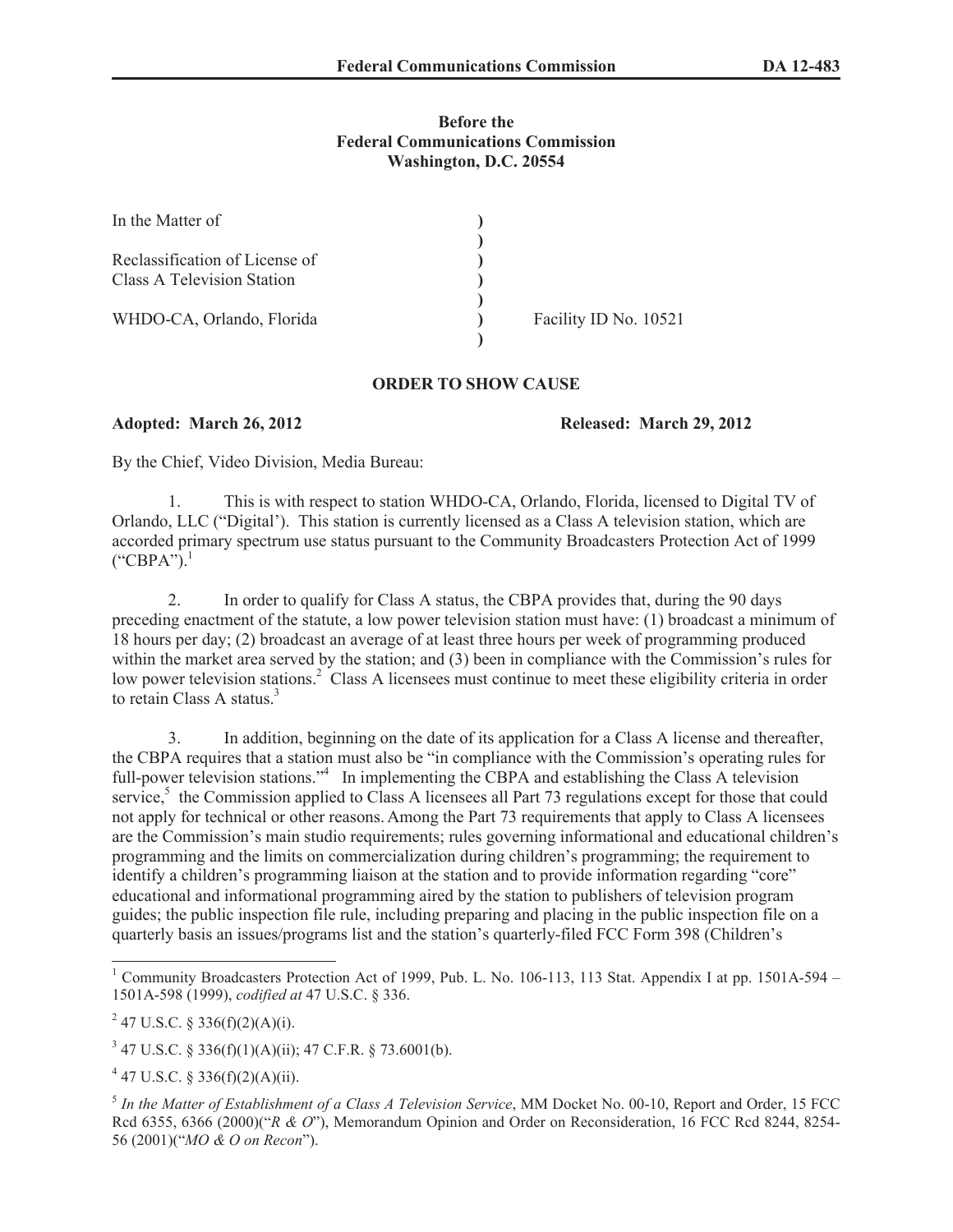## **Before the Federal Communications Commission Washington, D.C. 20554**

| In the Matter of                                                    |                       |
|---------------------------------------------------------------------|-----------------------|
| Reclassification of License of<br><b>Class A Television Station</b> |                       |
| WHDO-CA, Orlando, Florida                                           | Facility ID No. 10521 |

## **ORDER TO SHOW CAUSE**

**Adopted: March 26, 2012 Released: March 29, 2012**

By the Chief, Video Division, Media Bureau:

1. This is with respect to station WHDO-CA, Orlando, Florida, licensed to Digital TV of Orlando, LLC ("Digital'). This station is currently licensed as a Class A television station, which are accorded primary spectrum use status pursuant to the Community Broadcasters Protection Act of 1999  $("CBPA")$ <sup>1</sup>

2. In order to qualify for Class A status, the CBPA provides that, during the 90 days preceding enactment of the statute, a low power television station must have: (1) broadcast a minimum of 18 hours per day; (2) broadcast an average of at least three hours per week of programming produced within the market area served by the station; and (3) been in compliance with the Commission's rules for low power television stations.<sup>2</sup> Class A licensees must continue to meet these eligibility criteria in order to retain Class A status.<sup>3</sup>

3. In addition, beginning on the date of its application for a Class A license and thereafter, the CBPA requires that a station must also be "in compliance with the Commission's operating rules for full-power television stations."<sup>4</sup> In implementing the CBPA and establishing the Class A television service,<sup>5</sup> the Commission applied to Class A licensees all Part 73 regulations except for those that could not apply for technical or other reasons. Among the Part 73 requirements that apply to Class A licensees are the Commission's main studio requirements; rules governing informational and educational children's programming and the limits on commercialization during children's programming; the requirement to identify a children's programming liaison at the station and to provide information regarding "core" educational and informational programming aired by the station to publishers of television program guides; the public inspection file rule, including preparing and placing in the public inspection file on a quarterly basis an issues/programs list and the station's quarterly-filed FCC Form 398 (Children's

<sup>&</sup>lt;sup>1</sup> Community Broadcasters Protection Act of 1999, Pub. L. No. 106-113, 113 Stat. Appendix I at pp. 1501A-594 – 1501A-598 (1999), *codified at* 47 U.S.C. § 336.

<sup>&</sup>lt;sup>2</sup> 47 U.S.C. § 336(f)(2)(A)(i).

 $3$  47 U.S.C. § 336(f)(1)(A)(ii); 47 C.F.R. § 73.6001(b).

 $4$  47 U.S.C. § 336(f)(2)(A)(ii).

<sup>5</sup> *In the Matter of Establishment of a Class A Television Service*, MM Docket No. 00-10, Report and Order, 15 FCC Rcd 6355, 6366 (2000)("*R & O*"), Memorandum Opinion and Order on Reconsideration, 16 FCC Rcd 8244, 8254- 56 (2001)("*MO & O on Recon*").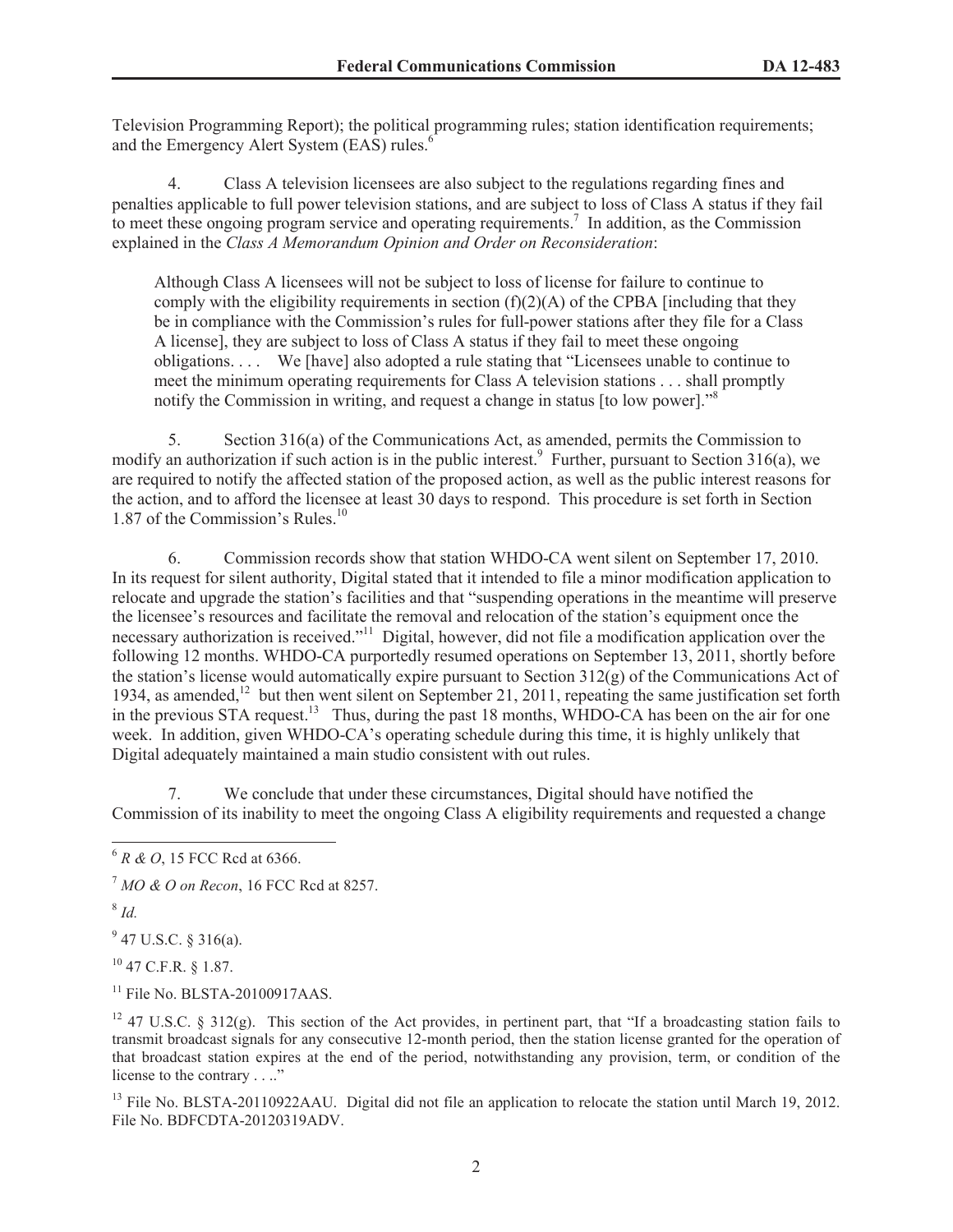Television Programming Report); the political programming rules; station identification requirements; and the Emergency Alert System (EAS) rules.<sup>6</sup>

4. Class A television licensees are also subject to the regulations regarding fines and penalties applicable to full power television stations, and are subject to loss of Class A status if they fail to meet these ongoing program service and operating requirements.<sup>7</sup> In addition, as the Commission explained in the *Class A Memorandum Opinion and Order on Reconsideration*:

Although Class A licensees will not be subject to loss of license for failure to continue to comply with the eligibility requirements in section  $(f)(2)(A)$  of the CPBA [including that they be in compliance with the Commission's rules for full-power stations after they file for a Class A license], they are subject to loss of Class A status if they fail to meet these ongoing obligations. . . . We [have] also adopted a rule stating that "Licensees unable to continue to meet the minimum operating requirements for Class A television stations . . . shall promptly notify the Commission in writing, and request a change in status [to low power].<sup>58</sup>

5. Section 316(a) of the Communications Act, as amended, permits the Commission to modify an authorization if such action is in the public interest.<sup>9</sup> Further, pursuant to Section 316(a), we are required to notify the affected station of the proposed action, as well as the public interest reasons for the action, and to afford the licensee at least 30 days to respond. This procedure is set forth in Section 1.87 of the Commission's Rules.<sup>10</sup>

6. Commission records show that station WHDO-CA went silent on September 17, 2010. In its request for silent authority, Digital stated that it intended to file a minor modification application to relocate and upgrade the station's facilities and that "suspending operations in the meantime will preserve the licensee's resources and facilitate the removal and relocation of the station's equipment once the necessary authorization is received."<sup>11</sup> Digital, however, did not file a modification application over the following 12 months. WHDO-CA purportedly resumed operations on September 13, 2011, shortly before the station's license would automatically expire pursuant to Section 312(g) of the Communications Act of 1934, as amended,<sup>12</sup> but then went silent on September 21, 2011, repeating the same justification set forth in the previous STA request.<sup>13</sup> Thus, during the past 18 months, WHDO-CA has been on the air for one week. In addition, given WHDO-CA's operating schedule during this time, it is highly unlikely that Digital adequately maintained a main studio consistent with out rules.

7. We conclude that under these circumstances, Digital should have notified the Commission of its inability to meet the ongoing Class A eligibility requirements and requested a change

8 *Id.*

 $9$  47 U.S.C. § 316(a).

<sup>10</sup> 47 C.F.R. § 1.87.

<sup>11</sup> File No. BLSTA-20100917AAS.

<sup>12</sup> 47 U.S.C. § 312(g). This section of the Act provides, in pertinent part, that "If a broadcasting station fails to transmit broadcast signals for any consecutive 12-month period, then the station license granted for the operation of that broadcast station expires at the end of the period, notwithstanding any provision, term, or condition of the license to the contrary . . .."

<sup>13</sup> File No. BLSTA-20110922AAU. Digital did not file an application to relocate the station until March 19, 2012. File No. BDFCDTA-20120319ADV.

<sup>6</sup> *R & O*, 15 FCC Rcd at 6366.

<sup>7</sup> *MO & O on Recon*, 16 FCC Rcd at 8257.